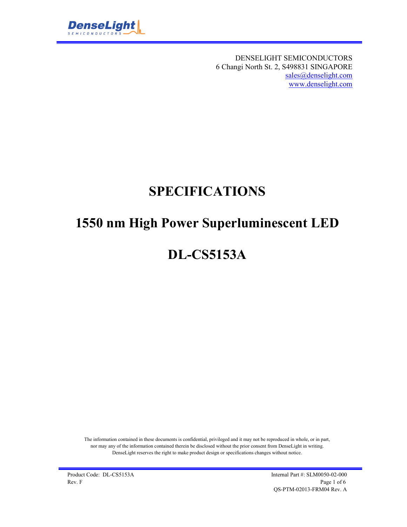

DENSELIGHT SEMICONDUCTORS 6 Changi North St. 2, S498831 SINGAPORE sales@denselight.com www.denselight.com

# **SPECIFICATIONS**

## **1550 nm High Power Superluminescent LED**

# **DL-CS5153A**

The information contained in these documents is confidential, privileged and it may not be reproduced in whole, or in part, nor may any of the information contained therein be disclosed without the prior consent from DenseLight in writing. DenseLight reserves the right to make product design or specifications changes without notice.

Product Code: DL-CS5153A Internal Part #: SLM0050-02-000 Rev. F  $\qquad \qquad$  Page 1 of 6 QS-PTM-02013-FRM04 Rev. A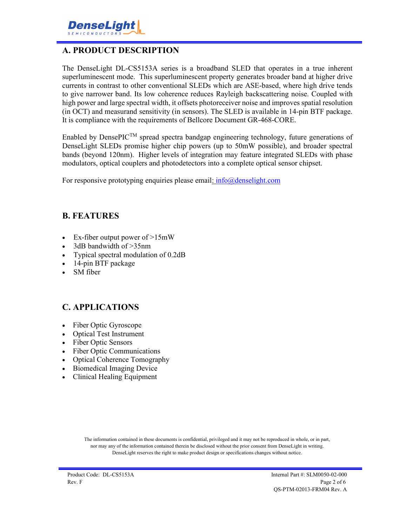

## **A. PRODUCT DESCRIPTION**

The DenseLight DL-CS5153A series is a broadband SLED that operates in a true inherent superluminescent mode. This superluminescent property generates broader band at higher drive currents in contrast to other conventional SLEDs which are ASE-based, where high drive tends to give narrower band. Its low coherence reduces Rayleigh backscattering noise. Coupled with high power and large spectral width, it offsets photoreceiver noise and improves spatial resolution (in OCT) and measurand sensitivity (in sensors). The SLED is available in 14-pin BTF package. It is compliance with the requirements of Bellcore Document GR-468-CORE.

Enabled by Dense $\text{PIC}^{\text{TM}}$  spread spectra bandgap engineering technology, future generations of DenseLight SLEDs promise higher chip powers (up to 50mW possible), and broader spectral bands (beyond 120nm). Higher levels of integration may feature integrated SLEDs with phase modulators, optical couplers and photodetectors into a complete optical sensor chipset.

For responsive prototyping enquiries please email:  $info@density$ 

#### **B. FEATURES**

- Ex-fiber output power of >15mW
- 3dB bandwidth of >35nm
- Typical spectral modulation of 0.2dB
- 14-pin BTF package
- SM fiber

### **C. APPLICATIONS**

- Fiber Optic Gyroscope
- Optical Test Instrument
- Fiber Optic Sensors
- Fiber Optic Communications
- Optical Coherence Tomography
- Biomedical Imaging Device
- Clinical Healing Equipment

The information contained in these documents is confidential, privileged and it may not be reproduced in whole, or in part, nor may any of the information contained therein be disclosed without the prior consent from DenseLight in writing. DenseLight reserves the right to make product design or specifications changes without notice.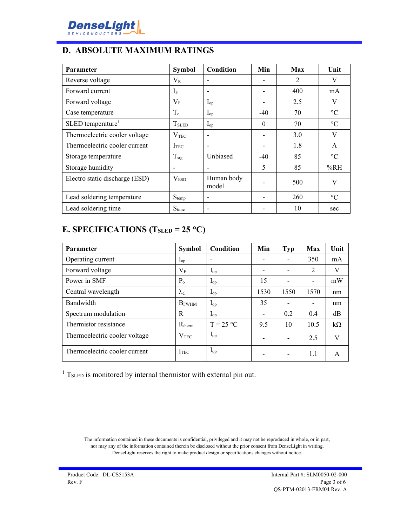

## **D. ABSOLUTE MAXIMUM RATINGS**

| <b>Parameter</b>                | <b>Symbol</b>     | <b>Condition</b>    | Min      | <b>Max</b>     | Unit            |
|---------------------------------|-------------------|---------------------|----------|----------------|-----------------|
| Reverse voltage                 | $\rm V_R$         |                     |          | $\mathfrak{D}$ | V               |
| Forward current                 | $I_F$             |                     |          | 400            | mA              |
| Forward voltage                 | $V_{\rm F}$       | $I_{op}$            |          | 2.5            | V               |
| Case temperature                | $T_c$             | $I_{op}$            | $-40$    | 70             | $\rm ^{\circ}C$ |
| $SLED$ temperature <sup>1</sup> | T <sub>SLED</sub> | $I_{op}$            | $\Omega$ | 70             | $\rm ^{\circ}C$ |
| Thermoelectric cooler voltage   | $\rm V_{TEC}$     |                     |          | 3.0            | V               |
| Thermoelectric cooler current   | I <sub>TEC</sub>  |                     |          | 1.8            | A               |
| Storage temperature             | $T_{\text{stg}}$  | Unbiased            | $-40$    | 85             | $\rm ^{\circ}C$ |
| Storage humidity                |                   |                     | 5        | 85             | %RH             |
| Electro static discharge (ESD)  | $\rm V_{ESD}$     | Human body<br>model |          | 500            | V               |
| Lead soldering temperature      | $S_{temp}$        |                     |          | 260            | $\rm ^{\circ}C$ |
| Lead soldering time             | $S_{time}$        |                     |          | 10             | sec             |

## **E. SPECIFICATIONS (TSLED = 25 C)**

| <b>Parameter</b>              | <b>Symbol</b>     | Condition         | Min                      | Typ  | <b>Max</b>               | Unit      |
|-------------------------------|-------------------|-------------------|--------------------------|------|--------------------------|-----------|
| Operating current             | $\mathbf{I}_{op}$ |                   | $\overline{\phantom{0}}$ |      | 350                      | mA        |
| Forward voltage               | $\rm V_F$         | $I_{op}$          | $\overline{\phantom{0}}$ |      | $\overline{2}$           | V         |
| Power in SMF                  | $P_{o}$           | $I_{op}$          | 15                       |      | $\overline{\phantom{a}}$ | mW        |
| Central wavelength            | $\lambda_{\rm C}$ | $\mathbf{I}_{op}$ | 1530                     | 1550 | 1570                     | nm        |
| Bandwidth                     | <b>B</b> FWHM     | $I_{op}$          | 35                       |      | $\overline{\phantom{0}}$ | nm        |
| Spectrum modulation           | R                 | $I_{op}$          | $\overline{\phantom{a}}$ | 0.2  | 0.4                      | dB        |
| Thermistor resistance         | $R_{therm}$       | $T = 25 °C$       | 9.5                      | 10   | 10.5                     | $k\Omega$ |
| Thermoelectric cooler voltage | $V_{\rm TEC}$     | $\mathbf{I}_{op}$ | $\overline{\phantom{0}}$ |      | 2.5                      | V         |
| Thermoelectric cooler current | <b>I</b> TEC      | $\mathbf{I}_{op}$ | $\overline{\phantom{0}}$ |      | 1.1                      | A         |

 $1$  T<sub>SLED</sub> is monitored by internal thermistor with external pin out.

The information contained in these documents is confidential, privileged and it may not be reproduced in whole, or in part, nor may any of the information contained therein be disclosed without the prior consent from DenseLight in writing. DenseLight reserves the right to make product design or specifications changes without notice.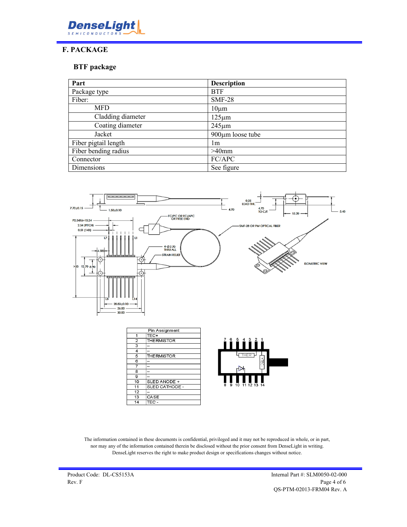

### **F. PACKAGE**

#### **BTF package**

| Part                 | <b>Description</b>     |
|----------------------|------------------------|
| Package type         | <b>BTF</b>             |
| Fiber:               | <b>SMF-28</b>          |
| <b>MFD</b>           | $10 \mu m$             |
| Cladding diameter    | $125 \mu m$            |
| Coating diameter     | $245 \mu m$            |
| Jacket               | $900 \mu m$ loose tube |
| Fiber pigtail length | lm                     |
| Fiber bending radius | $>40$ mm               |
| Connector            | FC/APC                 |
| Dimensions           | See figure             |



|                | Pin Assignment     |                               |
|----------------|--------------------|-------------------------------|
| 1              | TEC+               |                               |
| $\overline{2}$ | THERMISTOR         | 5<br>$\overline{4}$<br>6      |
| 3              |                    |                               |
| 4              |                    |                               |
| 5              | <b>THE RMISTOR</b> |                               |
| 6              |                    |                               |
|                |                    |                               |
| 8              |                    |                               |
| 9              |                    |                               |
| 10             | SLED ANODE +       |                               |
| 11             | SLED CATHODE -     | 8<br>9<br>10<br>$\rightarrow$ |
| 12             |                    |                               |
| 13             | CASE               |                               |
| 14             | TEC -              |                               |
|                |                    |                               |

The information contained in these documents is confidential, privileged and it may not be reproduced in whole, or in part, nor may any of the information contained therein be disclosed without the prior consent from DenseLight in writing. DenseLight reserves the right to make product design or specifications changes without notice.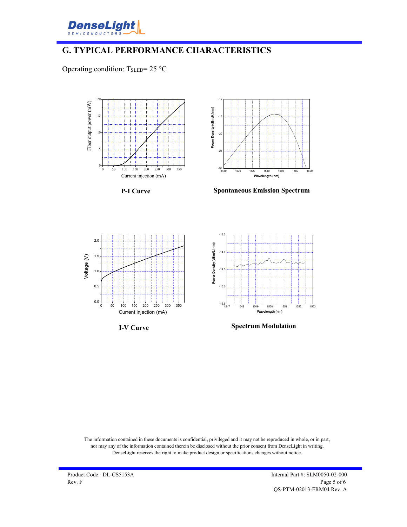

### **G. TYPICAL PERFORMANCE CHARACTERISTICS**

Operating condition:  $T_{\text{SLED}} = 25 \text{ °C}$ 



**P-I Curve**



**Spontaneous Emission Spectrum**







**Spectrum Modulation**

The information contained in these documents is confidential, privileged and it may not be reproduced in whole, or in part, nor may any of the information contained therein be disclosed without the prior consent from DenseLight in writing. DenseLight reserves the right to make product design or specifications changes without notice.

Product Code: DL-CS5153A Internal Part #: SLM0050-02-000 Rev. F  $\qquad \qquad$  Page 5 of 6 QS-PTM-02013-FRM04 Rev. A